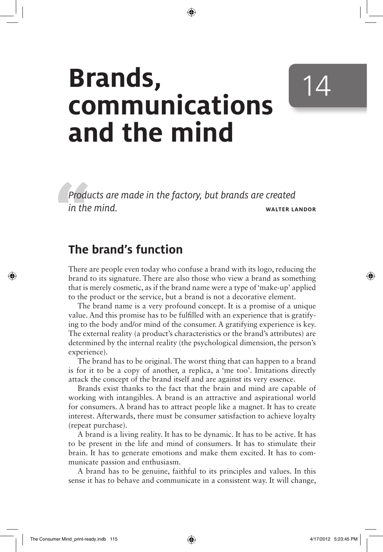# **Brands, communications and the mind**

⊕

14

Produ<br>
in the<br> **The**  Products are made in the factory, but brands are created in the mind. **WALTER LANDOR** 

# **The brand's function**

 There are people even today who confuse a brand with its logo, reducing the brand to its signature. There are also those who view a brand as something that is merely cosmetic, as if the brand name were a type of 'make-up' applied to the product or the service, but a brand is not a decorative element.

 The brand name is a very profound concept. It is a promise of a unique value. And this promise has to be fulfilled with an experience that is gratifying to the body and/or mind of the consumer. A gratifying experience is key. The external reality (a product's characteristics or the brand's attributes) are determined by the internal reality (the psychological dimension, the person's experience).

 The brand has to be original. The worst thing that can happen to a brand is for it to be a copy of another, a replica, a 'me too'. Imitations directly attack the concept of the brand itself and are against its very essence.

 Brands exist thanks to the fact that the brain and mind are capable of working with intangibles. A brand is an attractive and aspirational world for consumers. A brand has to attract people like a magnet. It has to create interest. Afterwards, there must be consumer satisfaction to achieve loyalty (repeat purchase).

 A brand is a living reality. It has to be dynamic. It has to be active. It has to be present in the life and mind of consumers. It has to stimulate their brain. It has to generate emotions and make them excited. It has to communicate passion and enthusiasm.

 A brand has to be genuine, faithful to its principles and values. In this sense it has to behave and communicate in a consistent way. It will change,

The Consumer Mind\_print-ready.indb 115  $\bigoplus$  4/17/2012 5:23:45 PM

◈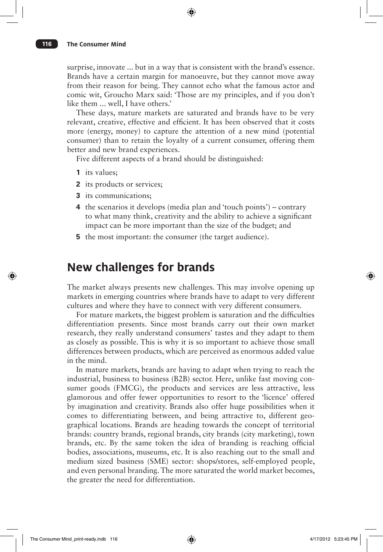#### **116 The Consumer Mind**

surprise, innovate ... but in a way that is consistent with the brand's essence. Brands have a certain margin for manoeuvre, but they cannot move away from their reason for being. They cannot echo what the famous actor and comic wit, Groucho Marx said: 'Those are my principles, and if you don't like them ... well, I have others.'

These days, mature markets are saturated and brands have to be very relevant, creative, effective and efficient. It has been observed that it costs more (energy, money) to capture the attention of a new mind (potential consumer) than to retain the loyalty of a current consumer, offering them better and new brand experiences.

Five different aspects of a brand should be distinguished:

**1** its values;

◈

- **2** its products or services;
- **3** its communications;
- **4** the scenarios it develops (media plan and 'touch points') contrary to what many think, creativity and the ability to achieve a significant impact can be more important than the size of the budget; and
- **5** the most important: the consumer (the target audience).

# **New challenges for brands**

The market always presents new challenges. This may involve opening up markets in emerging countries where brands have to adapt to very different cultures and where they have to connect with very different consumers.

For mature markets, the biggest problem is saturation and the difficulties differentiation presents. Since most brands carry out their own market research, they really understand consumers' tastes and they adapt to them as closely as possible. This is why it is so important to achieve those small differences between products, which are perceived as enormous added value in the mind.

In mature markets, brands are having to adapt when trying to reach the industrial, business to business (B2B) sector. Here, unlike fast moving consumer goods (FMCG), the products and services are less attractive, less glamorous and offer fewer opportunities to resort to the 'licence' offered by imagination and creativity. Brands also offer huge possibilities when it comes to differentiating between, and being attractive to, different geographical locations. Brands are heading towards the concept of territorial brands: country brands, regional brands, city brands (city marketing), town brands, etc. By the same token the idea of branding is reaching official bodies, associations, museums, etc. It is also reaching out to the small and medium sized business (SME) sector: shops/stores, self-employed people, and even personal branding. The more saturated the world market becomes, the greater the need for differentiation.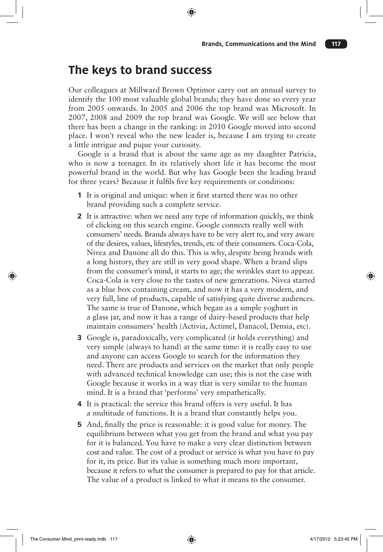# **The keys to brand success**

Our colleagues at Millward Brown Optimor carry out an annual survey to identify the 100 most valuable global brands; they have done so every year from 2005 onwards. In 2005 and 2006 the top brand was Microsoft. In 2007, 2008 and 2009 the top brand was Google. We will see below that there has been a change in the ranking: in 2010 Google moved into second place. I won't reveal who the new leader is, because I am trying to create a little intrigue and pique your curiosity.

⊕

Google is a brand that is about the same age as my daughter Patricia, who is now a teenager. In its relatively short life it has become the most powerful brand in the world. But why has Google been the leading brand for three years? Because it fulfils five key requirements or conditions:

- **1** It is original and unique: when it first started there was no other brand providing such a complete service.
- **2** It is attractive: when we need any type of information quickly, we think of clicking on this search engine. Google connects really well with consumers' needs. Brands always have to be very alert to, and very aware of the desires, values, lifestyles, trends, etc of their consumers. Coca-Cola, Nivea and Danone all do this. This is why, despite being brands with a long history, they are still in very good shape. When a brand slips from the consumer's mind, it starts to age; the wrinkles start to appear. Coca-Cola is very close to the tastes of new generations. Nivea started as a blue box containing cream, and now it has a very modern, and very full, line of products, capable of satisfying quite diverse audiences. The same is true of Danone, which began as a simple yoghurt in a glass jar, and now it has a range of dairy-based products that help maintain consumers' health (Activia, Actimel, Danacol, Densia, etc).
- **3** Google is, paradoxically, very complicated (it holds everything) and very simple (always to hand) at the same time: it is really easy to use and anyone can access Google to search for the information they need. There are products and services on the market that only people with advanced technical knowledge can use; this is not the case with Google because it works in a way that is very similar to the human mind. It is a brand that 'performs' very empathetically.
- **4** It is practical: the service this brand offers is very useful. It has a multitude of functions. It is a brand that constantly helps you.
- **5** And, finally the price is reasonable: it is good value for money. The equilibrium between what you get from the brand and what you pay for it is balanced. You have to make a very clear distinction between cost and value. The cost of a product or service is what you have to pay for it, its price. But its value is something much more important, because it refers to what the consumer is prepared to pay for that article. The value of a product is linked to what it means to the consumer.

⊕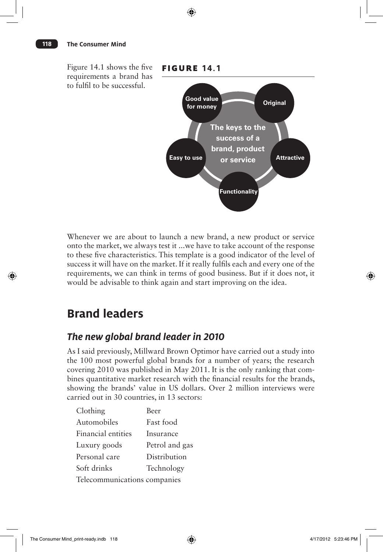



Whenever we are about to launch a new brand, a new product or service onto the market, we always test it ...we have to take account of the response to these five characteristics. This template is a good indicator of the level of success it will have on the market. If it really fulfils each and every one of the requirements, we can think in terms of good business. But if it does not, it would be advisable to think again and start improving on the idea.

# **Brand leaders**

⊕

# **The new global brand leader in 2010**

As I said previously, Millward Brown Optimor have carried out a study into the 100 most powerful global brands for a number of years; the research covering 2010 was published in May 2011. It is the only ranking that combines quantitative market research with the financial results for the brands, showing the brands' value in US dollars. Over 2 million interviews were carried out in 30 countries, in 13 sectors:

| Clothing                     | Beer           |  |
|------------------------------|----------------|--|
| Automobiles                  | Fast food      |  |
| Financial entities           | Insurance      |  |
| Luxury goods                 | Petrol and gas |  |
| Personal care                | Distribution   |  |
| Soft drinks                  | Technology     |  |
| Telecommunications companies |                |  |
|                              |                |  |

The Consumer Mind\_print-ready.indb 118  $\bigoplus$  4/17/2012 5:23:46 PM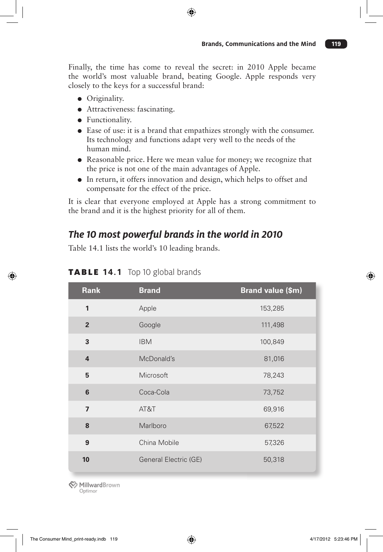Finally, the time has come to reveal the secret: in 2010 Apple became the world's most valuable brand, beating Google. Apple responds very closely to the keys for a successful brand:

◈

- Originality.
- Attractiveness: fascinating.
- Functionality.
- Ease of use: it is a brand that empathizes strongly with the consumer. Its technology and functions adapt very well to the needs of the human mind.
- Reasonable price. Here we mean value for money; we recognize that the price is not one of the main advantages of Apple.
- In return, it offers innovation and design, which helps to offset and compensate for the effect of the price.

 It is clear that everyone employed at Apple has a strong commitment to the brand and it is the highest priority for all of them.

# **The 10 most powerful brands in the world in 2010**

Table 14.1 lists the world's 10 leading brands.

|  |  |  |  |  |  |  | TABLE 14.1 Top 10 global brands |
|--|--|--|--|--|--|--|---------------------------------|
|--|--|--|--|--|--|--|---------------------------------|

| <b>Rank</b>             | <b>Brand</b>          | <b>Brand value (\$m)</b> |
|-------------------------|-----------------------|--------------------------|
| 1                       | Apple                 | 153,285                  |
| $\overline{2}$          | Google                | 111,498                  |
| 3                       | <b>IBM</b>            | 100,849                  |
| $\overline{\mathbf{4}}$ | McDonald's            | 81,016                   |
| 5                       | Microsoft             | 78,243                   |
| $6\phantom{1}$          | Coca-Cola             | 73,752                   |
| $\overline{7}$          | AT&T                  | 69,916                   |
| 8                       | Marlboro              | 67,522                   |
| 9                       | China Mobile          | 57,326                   |
| 10                      | General Electric (GE) | 50,318                   |

**♦** MillwardBrown Optimor

The Consumer Mind\_print-ready.indb 119 **and 119** 4/17/2012 5:23:46 PM

◈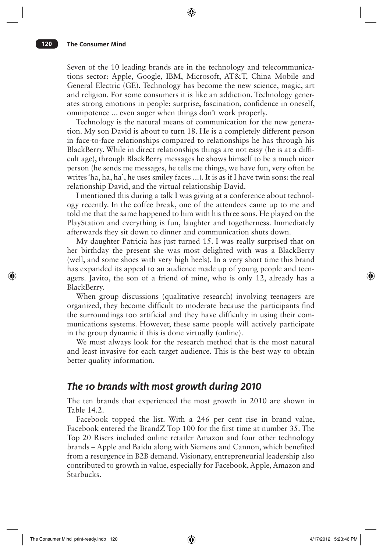Seven of the 10 leading brands are in the technology and telecommunications sector: Apple, Google, IBM, Microsoft, AT&T, China Mobile and General Electric (GE). Technology has become the new science, magic, art and religion. For some consumers it is like an addiction. Technology generates strong emotions in people: surprise, fascination, confidence in oneself, omnipotence ... even anger when things don't work properly.

⊕

Technology is the natural means of communication for the new generation. My son David is about to turn 18. He is a completely different person in face-to-face relationships compared to relationships he has through his BlackBerry. While in direct relationships things are not easy (he is at a difficult age), through BlackBerry messages he shows himself to be a much nicer person (he sends me messages, he tells me things, we have fun, very often he writes 'ha, ha, ha', he uses smiley faces ...). It is as if I have twin sons: the real relationship David, and the virtual relationship David.

I mentioned this during a talk I was giving at a conference about technology recently. In the coffee break, one of the attendees came up to me and told me that the same happened to him with his three sons. He played on the PlayStation and everything is fun, laughter and togetherness. Immediately afterwards they sit down to dinner and communication shuts down.

My daughter Patricia has just turned 15. I was really surprised that on her birthday the present she was most delighted with was a BlackBerry (well, and some shoes with very high heels). In a very short time this brand has expanded its appeal to an audience made up of young people and teenagers. Javito, the son of a friend of mine, who is only 12, already has a BlackBerry.

When group discussions (qualitative research) involving teenagers are organized, they become difficult to moderate because the participants find the surroundings too artificial and they have difficulty in using their communications systems. However, these same people will actively participate in the group dynamic if this is done virtually (online).

We must always look for the research method that is the most natural and least invasive for each target audience. This is the best way to obtain better quality information.

#### **The 10 brands with most growth during 2010**

The ten brands that experienced the most growth in 2010 are shown in Table 14.2.

Facebook topped the list. With a 246 per cent rise in brand value, Facebook entered the BrandZ Top 100 for the first time at number 35. The Top 20 Risers included online retailer Amazon and four other technology brands – Apple and Baidu along with Siemens and Cannon, which benefited from a resurgence in B2B demand. Visionary, entrepreneurial leadership also contributed to growth in value, especially for Facebook, Apple, Amazon and Starbucks.

◈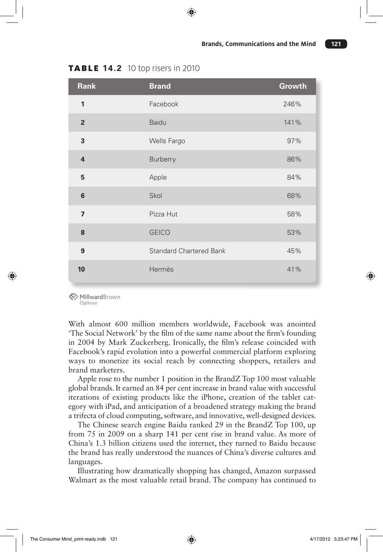| <b>Rank</b>             | <b>Brand</b>                   | <b>Growth</b> |
|-------------------------|--------------------------------|---------------|
| $\mathbf{1}$            | Facebook                       | 246%          |
| $\overline{2}$          | <b>Baidu</b>                   | 141%          |
| 3                       | Wells Fargo                    | 97%           |
| $\overline{\mathbf{4}}$ | <b>Burberry</b>                | 86%           |
| 5                       | Apple                          | 84%           |
| $6\phantom{1}6$         | Skol                           | 68%           |
| $\overline{7}$          | Pizza Hut                      | 58%           |
| 8                       | <b>GEICO</b>                   | 53%           |
| 9                       | <b>Standard Chartered Bank</b> | 45%           |
| 10                      | Hermès                         | 41%           |

#### TABLe **14.2** 10 top risers in 2010

**←** MillwardBrown Optimor

◈

 With almost 600 million members worldwide, Facebook was anointed 'The Social Network' by the film of the same name about the firm's founding in 2004 by Mark Zuckerberg. Ironically, the film's release coincided with Facebook's rapid evolution into a powerful commercial platform exploring ways to monetize its social reach by connecting shoppers, retailers and brand marketers.

 Apple rose to the number 1 position in the BrandZ Top 100 most valuable global brands. It earned an 84 per cent increase in brand value with successful iterations of existing products like the iPhone, creation of the tablet category with iPad, and anticipation of a broadened strategy making the brand a trifecta of cloud computing, software, and innovative, well-designed devices.

 The Chinese search engine Baidu ranked 29 in the BrandZ Top 100, up from 75 in 2009 on a sharp 141 per cent rise in brand value. As more of China's 1.3 billion citizens used the internet, they turned to Baidu because the brand has really understood the nuances of China's diverse cultures and languages.

 Illustrating how dramatically shopping has changed, Amazon surpassed Walmart as the most valuable retail brand. The company has continued to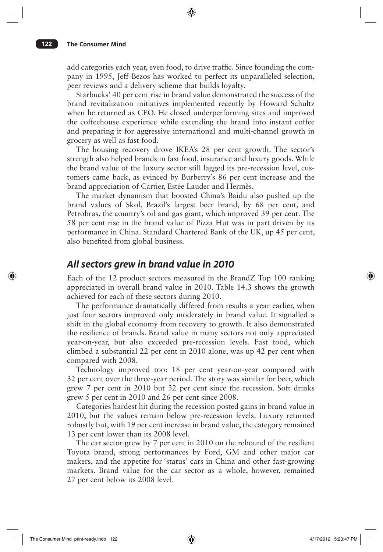add categories each year, even food, to drive traffic. Since founding the company in 1995, Jeff Bezos has worked to perfect its unparalleled selection, peer reviews and a delivery scheme that builds loyalty.

⊕

Starbucks' 40 per cent rise in brand value demonstrated the success of the brand revitalization initiatives implemented recently by Howard Schultz when he returned as CEO. He closed underperforming sites and improved the coffeehouse experience while extending the brand into instant coffee and preparing it for aggressive international and multi-channel growth in grocery as well as fast food.

The housing recovery drove IKEA's 28 per cent growth. The sector's strength also helped brands in fast food, insurance and luxury goods. While the brand value of the luxury sector still lagged its pre-recession level, customers came back, as evinced by Burberry's 86 per cent increase and the brand appreciation of Cartier, Estée Lauder and Hermès.

The market dynamism that boosted China's Baidu also pushed up the brand values of Skol, Brazil's largest beer brand, by 68 per cent, and Petrobras, the country's oil and gas giant, which improved 39 per cent. The 58 per cent rise in the brand value of Pizza Hut was in part driven by its performance in China. Standard Chartered Bank of the UK, up 45 per cent, also benefited from global business.

# **All sectors grew in brand value in 2010**

Each of the 12 product sectors measured in the BrandZ Top 100 ranking appreciated in overall brand value in 2010. Table 14.3 shows the growth achieved for each of these sectors during 2010.

The performance dramatically differed from results a year earlier, when just four sectors improved only moderately in brand value. It signalled a shift in the global economy from recovery to growth. It also demonstrated the resilience of brands. Brand value in many sectors not only appreciated year-on-year, but also exceeded pre-recession levels. Fast food, which climbed a substantial 22 per cent in 2010 alone, was up 42 per cent when compared with 2008.

Technology improved too: 18 per cent year-on-year compared with 32 per cent over the three-year period. The story was similar for beer, which grew 7 per cent in 2010 but 32 per cent since the recession. Soft drinks grew 5 per cent in 2010 and 26 per cent since 2008.

Categories hardest hit during the recession posted gains in brand value in 2010, but the values remain below pre-recession levels. Luxury returned robustly but, with 19 per cent increase in brand value, the category remained 13 per cent lower than its 2008 level.

The car sector grew by 7 per cent in 2010 on the rebound of the resilient Toyota brand, strong performances by Ford, GM and other major car makers, and the appetite for 'status' cars in China and other fast-growing markets. Brand value for the car sector as a whole, however, remained 27 per cent below its 2008 level.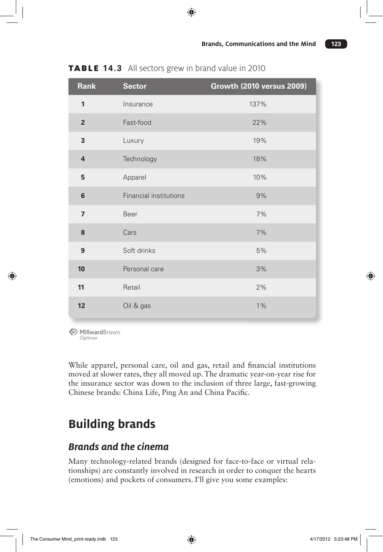| <b>Rank</b>             | <b>Sector</b>                 | <b>Growth (2010 versus 2009)</b> |
|-------------------------|-------------------------------|----------------------------------|
| $\mathbf{1}$            | Insurance                     | 137%                             |
| $\overline{\mathbf{2}}$ | Fast-food                     | 22%                              |
| 3                       | Luxury                        | 19%                              |
| $\overline{\mathbf{4}}$ | Technology                    | 18%                              |
| 5                       | Apparel                       | 10%                              |
| 6                       | <b>Financial institutions</b> | 9%                               |
| $\overline{\mathbf{z}}$ | Beer                          | 7%                               |
| 8                       | Cars                          | 7%                               |
| 9                       | Soft drinks                   | 5%                               |
| 10                      | Personal care                 | 3%                               |
| 11                      | Retail                        | 2%                               |
| 12                      | Oil & gas                     | $1\%$                            |

TABLe **14.3** All sectors grew in brand value in 2010

◈

MillwardBrown Optimor

◈

While apparel, personal care, oil and gas, retail and financial institutions moved at slower rates, they all moved up. The dramatic year-on-year rise for the insurance sector was down to the inclusion of three large, fast-growing Chinese brands: China Life, Ping An and China Pacific.

# **Building brands**

# **Brands and the cinema**

 Many technology-related brands (designed for face-to-face or virtual relationships) are constantly involved in research in order to conquer the hearts (emotions) and pockets of consumers. I'll give you some examples:

The Consumer Mind\_print-ready.indb 123 4/17/2012 5:23:48 PM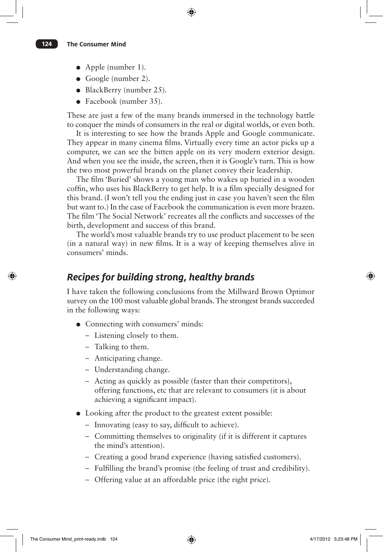#### **124 The Consumer Mind**

- Apple (number 1).
- Google (number 2).
- BlackBerry (number 25).
- Facebook (number 35).

These are just a few of the many brands immersed in the technology battle to conquer the minds of consumers in the real or digital worlds, or even both.

⊕

It is interesting to see how the brands Apple and Google communicate. They appear in many cinema films. Virtually every time an actor picks up a computer, we can see the bitten apple on its very modern exterior design. And when you see the inside, the screen, then it is Google's turn. This is how the two most powerful brands on the planet convey their leadership.

The film 'Buried' shows a young man who wakes up buried in a wooden coffin, who uses his BlackBerry to get help. It is a film specially designed for this brand. (I won't tell you the ending just in case you haven't seen the film but want to.) In the case of Facebook the communication is even more brazen. The film 'The Social Network' recreates all the conflicts and successes of the birth, development and success of this brand.

The world's most valuable brands try to use product placement to be seen (in a natural way) in new films. It is a way of keeping themselves alive in consumers' minds.

### **Recipes for building strong, healthy brands**

I have taken the following conclusions from the Millward Brown Optimor survey on the 100 most valuable global brands. The strongest brands succeeded in the following ways:

- Connecting with consumers' minds:
	- Listening closely to them.
	- Talking to them.
	- Anticipating change.
	- Understanding change.
	- Acting as quickly as possible (faster than their competitors), offering functions, etc that are relevant to consumers (it is about achieving a significant impact).
- Looking after the product to the greatest extent possible:
	- Innovating (easy to say, difficult to achieve).
	- Committing themselves to originality (if it is different it captures the mind's attention).
	- Creating a good brand experience (having satisfied customers).
	- Fulfilling the brand's promise (the feeling of trust and credibility).
	- Offering value at an affordable price (the right price).

◈